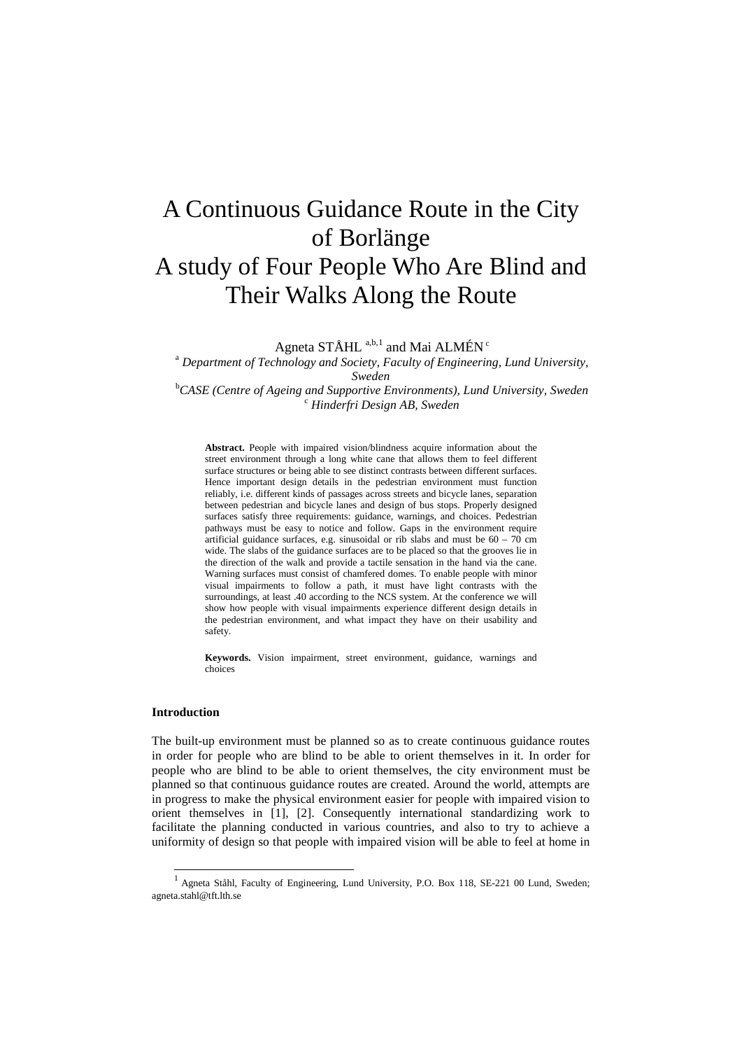# A Continuous Guidance Route in the City of Borlänge A study of Four People Who Are Blind and Their Walks Along the Route

Agneta  $STÅHL$ <sup>a,b,[1](#page-0-0)</sup> and Mai ALMÉN<sup>c</sup>

<sup>a</sup> *Department of Technology and Society, Faculty of Engineering, Lund University, Sweden*<br><sup>b</sup>CASE (Centre of Ageing and Supportive B *CASE (Centre of Ageing and Supportive Environments), Lund University, Sweden* <sup>c</sup> *Hinderfri Design AB, Sweden*

**Abstract.** People with impaired vision/blindness acquire information about the street environment through a long white cane that allows them to feel different surface structures or being able to see distinct contrasts between different surfaces. Hence important design details in the pedestrian environment must function reliably, i.e. different kinds of passages across streets and bicycle lanes, separation between pedestrian and bicycle lanes and design of bus stops. Properly designed surfaces satisfy three requirements: guidance, warnings, and choices. Pedestrian pathways must be easy to notice and follow. Gaps in the environment require artificial guidance surfaces, e.g. sinusoidal or rib slabs and must be  $60 - 70$  cm wide. The slabs of the guidance surfaces are to be placed so that the grooves lie in the direction of the walk and provide a tactile sensation in the hand via the cane. Warning surfaces must consist of chamfered domes. To enable people with minor visual impairments to follow a path, it must have light contrasts with the surroundings, at least .40 according to the NCS system. At the conference we will show how people with visual impairments experience different design details in the pedestrian environment, and what impact they have on their usability and safety.

**Keywords.** Vision impairment, street environment, guidance, warnings and choices

#### **Introduction**

-

The built-up environment must be planned so as to create continuous guidance routes in order for people who are blind to be able to orient themselves in it. In order for people who are blind to be able to orient themselves, the city environment must be planned so that continuous guidance routes are created. Around the world, attempts are in progress to make the physical environment easier for people with impaired vision to orient themselves in [1], [2]. Consequently international standardizing work to facilitate the planning conducted in various countries, and also to try to achieve a uniformity of design so that people with impaired vision will be able to feel at home in

<span id="page-0-0"></span><sup>&</sup>lt;sup>1</sup> Agneta Ståhl, Faculty of Engineering, Lund University, P.O. Box 118, SE-221 00 Lund, Sweden; agneta.stahl@tft.lth.se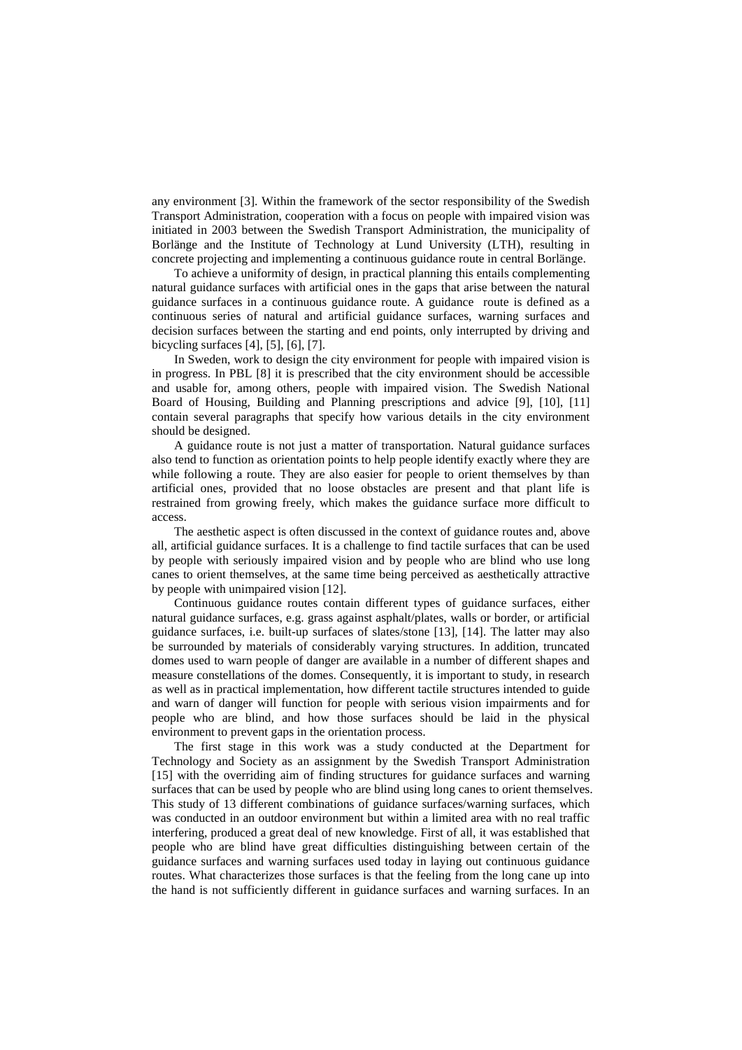any environment [3]. Within the framework of the sector responsibility of the Swedish Transport Administration, cooperation with a focus on people with impaired vision was initiated in 2003 between the Swedish Transport Administration, the municipality of Borlänge and the Institute of Technology at Lund University (LTH), resulting in concrete projecting and implementing a continuous guidance route in central Borlänge.

To achieve a uniformity of design, in practical planning this entails complementing natural guidance surfaces with artificial ones in the gaps that arise between the natural guidance surfaces in a continuous guidance route. A guidance route is defined as a continuous series of natural and artificial guidance surfaces, warning surfaces and decision surfaces between the starting and end points, only interrupted by driving and bicycling surfaces [4], [5], [6], [7].

In Sweden, work to design the city environment for people with impaired vision is in progress. In PBL [8] it is prescribed that the city environment should be accessible and usable for, among others, people with impaired vision. The Swedish National Board of Housing, Building and Planning prescriptions and advice [9], [10], [11] contain several paragraphs that specify how various details in the city environment should be designed.

A guidance route is not just a matter of transportation. Natural guidance surfaces also tend to function as orientation points to help people identify exactly where they are while following a route. They are also easier for people to orient themselves by than artificial ones, provided that no loose obstacles are present and that plant life is restrained from growing freely, which makes the guidance surface more difficult to access.

The aesthetic aspect is often discussed in the context of guidance routes and, above all, artificial guidance surfaces. It is a challenge to find tactile surfaces that can be used by people with seriously impaired vision and by people who are blind who use long canes to orient themselves, at the same time being perceived as aesthetically attractive by people with unimpaired vision [12].

Continuous guidance routes contain different types of guidance surfaces, either natural guidance surfaces, e.g. grass against asphalt/plates, walls or border, or artificial guidance surfaces, i.e. built-up surfaces of slates/stone [13], [14]. The latter may also be surrounded by materials of considerably varying structures. In addition, truncated domes used to warn people of danger are available in a number of different shapes and measure constellations of the domes. Consequently, it is important to study, in research as well as in practical implementation, how different tactile structures intended to guide and warn of danger will function for people with serious vision impairments and for people who are blind, and how those surfaces should be laid in the physical environment to prevent gaps in the orientation process.

The first stage in this work was a study conducted at the Department for Technology and Society as an assignment by the Swedish Transport Administration [15] with the overriding aim of finding structures for guidance surfaces and warning surfaces that can be used by people who are blind using long canes to orient themselves. This study of 13 different combinations of guidance surfaces/warning surfaces, which was conducted in an outdoor environment but within a limited area with no real traffic interfering, produced a great deal of new knowledge. First of all, it was established that people who are blind have great difficulties distinguishing between certain of the guidance surfaces and warning surfaces used today in laying out continuous guidance routes. What characterizes those surfaces is that the feeling from the long cane up into the hand is not sufficiently different in guidance surfaces and warning surfaces. In an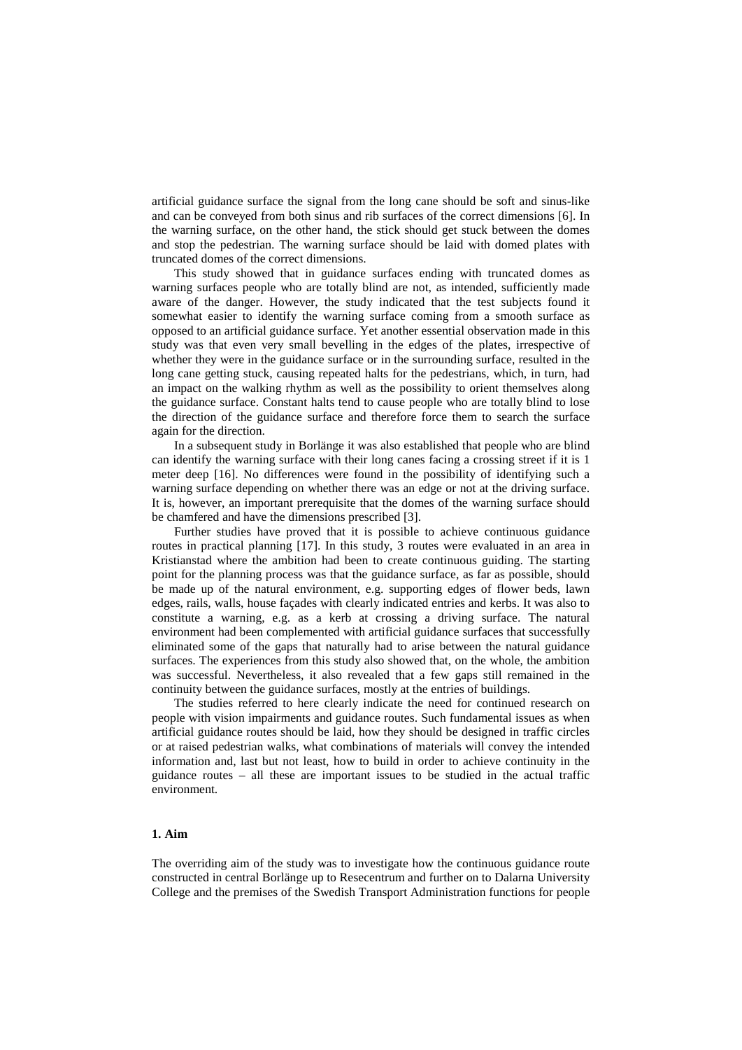artificial guidance surface the signal from the long cane should be soft and sinus-like and can be conveyed from both sinus and rib surfaces of the correct dimensions [6]. In the warning surface, on the other hand, the stick should get stuck between the domes and stop the pedestrian. The warning surface should be laid with domed plates with truncated domes of the correct dimensions.

This study showed that in guidance surfaces ending with truncated domes as warning surfaces people who are totally blind are not, as intended, sufficiently made aware of the danger. However, the study indicated that the test subjects found it somewhat easier to identify the warning surface coming from a smooth surface as opposed to an artificial guidance surface. Yet another essential observation made in this study was that even very small bevelling in the edges of the plates, irrespective of whether they were in the guidance surface or in the surrounding surface, resulted in the long cane getting stuck, causing repeated halts for the pedestrians, which, in turn, had an impact on the walking rhythm as well as the possibility to orient themselves along the guidance surface. Constant halts tend to cause people who are totally blind to lose the direction of the guidance surface and therefore force them to search the surface again for the direction.

In a subsequent study in Borlänge it was also established that people who are blind can identify the warning surface with their long canes facing a crossing street if it is 1 meter deep [16]. No differences were found in the possibility of identifying such a warning surface depending on whether there was an edge or not at the driving surface. It is, however, an important prerequisite that the domes of the warning surface should be chamfered and have the dimensions prescribed [3].

Further studies have proved that it is possible to achieve continuous guidance routes in practical planning [17]. In this study, 3 routes were evaluated in an area in Kristianstad where the ambition had been to create continuous guiding. The starting point for the planning process was that the guidance surface, as far as possible, should be made up of the natural environment, e.g. supporting edges of flower beds, lawn edges, rails, walls, house façades with clearly indicated entries and kerbs. It was also to constitute a warning, e.g. as a kerb at crossing a driving surface. The natural environment had been complemented with artificial guidance surfaces that successfully eliminated some of the gaps that naturally had to arise between the natural guidance surfaces. The experiences from this study also showed that, on the whole, the ambition was successful. Nevertheless, it also revealed that a few gaps still remained in the continuity between the guidance surfaces, mostly at the entries of buildings.

The studies referred to here clearly indicate the need for continued research on people with vision impairments and guidance routes. Such fundamental issues as when artificial guidance routes should be laid, how they should be designed in traffic circles or at raised pedestrian walks, what combinations of materials will convey the intended information and, last but not least, how to build in order to achieve continuity in the guidance routes – all these are important issues to be studied in the actual traffic environment.

# **1. Aim**

The overriding aim of the study was to investigate how the continuous guidance route constructed in central Borlänge up to Resecentrum and further on to Dalarna University College and the premises of the Swedish Transport Administration functions for people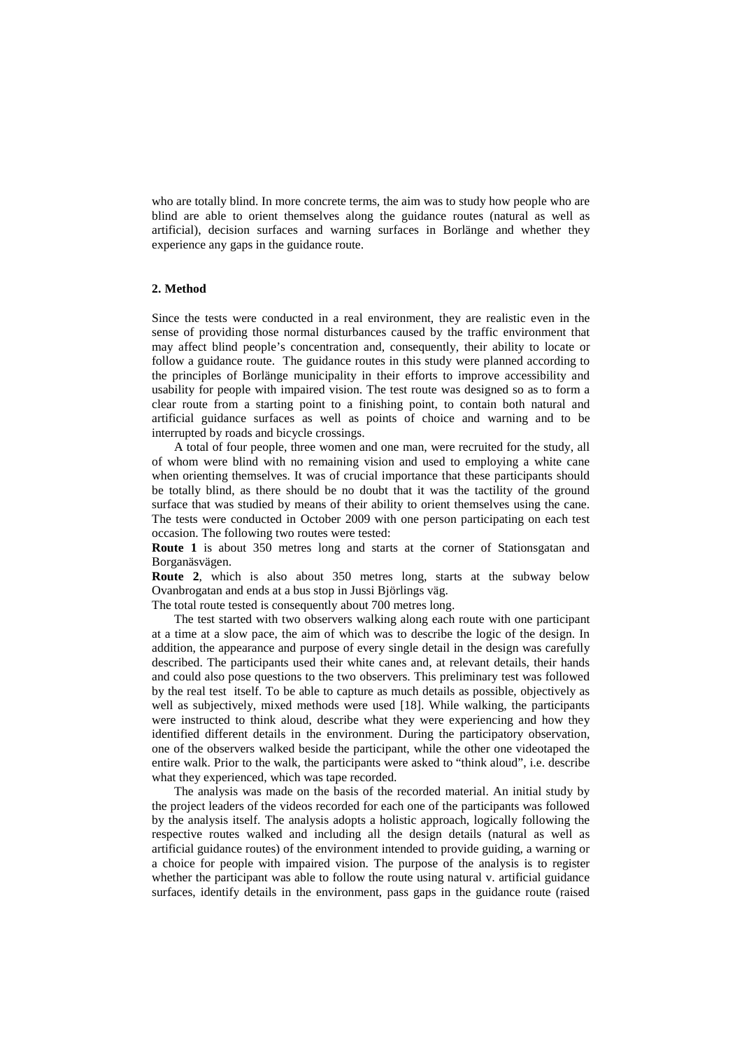who are totally blind. In more concrete terms, the aim was to study how people who are blind are able to orient themselves along the guidance routes (natural as well as artificial), decision surfaces and warning surfaces in Borlänge and whether they experience any gaps in the guidance route.

## **2. Method**

Since the tests were conducted in a real environment, they are realistic even in the sense of providing those normal disturbances caused by the traffic environment that may affect blind people's concentration and, consequently, their ability to locate or follow a guidance route. The guidance routes in this study were planned according to the principles of Borlänge municipality in their efforts to improve accessibility and usability for people with impaired vision. The test route was designed so as to form a clear route from a starting point to a finishing point, to contain both natural and artificial guidance surfaces as well as points of choice and warning and to be interrupted by roads and bicycle crossings.

A total of four people, three women and one man, were recruited for the study, all of whom were blind with no remaining vision and used to employing a white cane when orienting themselves. It was of crucial importance that these participants should be totally blind, as there should be no doubt that it was the tactility of the ground surface that was studied by means of their ability to orient themselves using the cane. The tests were conducted in October 2009 with one person participating on each test occasion. The following two routes were tested:

**Route 1** is about 350 metres long and starts at the corner of Stationsgatan and Borganäsvägen.

**Route 2**, which is also about 350 metres long, starts at the subway below Ovanbrogatan and ends at a bus stop in Jussi Björlings väg.

The total route tested is consequently about 700 metres long.

The test started with two observers walking along each route with one participant at a time at a slow pace, the aim of which was to describe the logic of the design. In addition, the appearance and purpose of every single detail in the design was carefully described. The participants used their white canes and, at relevant details, their hands and could also pose questions to the two observers. This preliminary test was followed by the real test itself. To be able to capture as much details as possible, objectively as well as subjectively, mixed methods were used [18]. While walking, the participants were instructed to think aloud, describe what they were experiencing and how they identified different details in the environment. During the participatory observation, one of the observers walked beside the participant, while the other one videotaped the entire walk. Prior to the walk, the participants were asked to "think aloud", i.e. describe what they experienced, which was tape recorded.

The analysis was made on the basis of the recorded material. An initial study by the project leaders of the videos recorded for each one of the participants was followed by the analysis itself. The analysis adopts a holistic approach, logically following the respective routes walked and including all the design details (natural as well as artificial guidance routes) of the environment intended to provide guiding, a warning or a choice for people with impaired vision. The purpose of the analysis is to register whether the participant was able to follow the route using natural v. artificial guidance surfaces, identify details in the environment, pass gaps in the guidance route (raised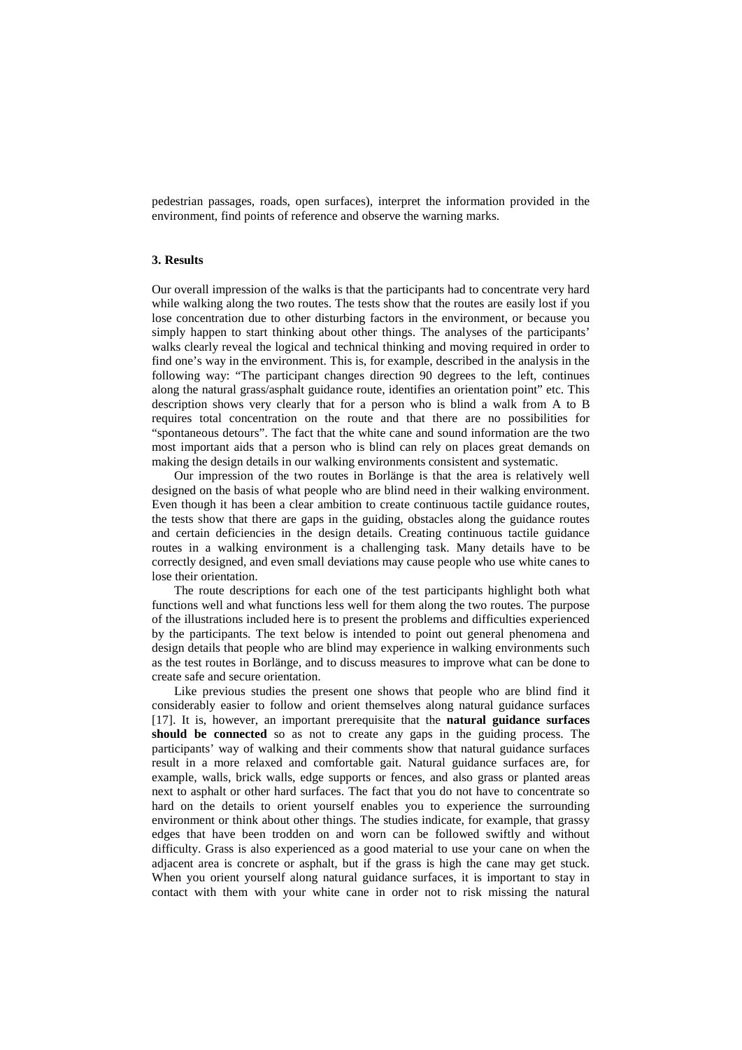pedestrian passages, roads, open surfaces), interpret the information provided in the environment, find points of reference and observe the warning marks.

# **3. Results**

Our overall impression of the walks is that the participants had to concentrate very hard while walking along the two routes. The tests show that the routes are easily lost if you lose concentration due to other disturbing factors in the environment, or because you simply happen to start thinking about other things. The analyses of the participants' walks clearly reveal the logical and technical thinking and moving required in order to find one's way in the environment. This is, for example, described in the analysis in the following way: "The participant changes direction 90 degrees to the left, continues along the natural grass/asphalt guidance route, identifies an orientation point" etc. This description shows very clearly that for a person who is blind a walk from A to B requires total concentration on the route and that there are no possibilities for "spontaneous detours". The fact that the white cane and sound information are the two most important aids that a person who is blind can rely on places great demands on making the design details in our walking environments consistent and systematic.

Our impression of the two routes in Borlänge is that the area is relatively well designed on the basis of what people who are blind need in their walking environment. Even though it has been a clear ambition to create continuous tactile guidance routes, the tests show that there are gaps in the guiding, obstacles along the guidance routes and certain deficiencies in the design details. Creating continuous tactile guidance routes in a walking environment is a challenging task. Many details have to be correctly designed, and even small deviations may cause people who use white canes to lose their orientation.

The route descriptions for each one of the test participants highlight both what functions well and what functions less well for them along the two routes. The purpose of the illustrations included here is to present the problems and difficulties experienced by the participants. The text below is intended to point out general phenomena and design details that people who are blind may experience in walking environments such as the test routes in Borlänge, and to discuss measures to improve what can be done to create safe and secure orientation.

Like previous studies the present one shows that people who are blind find it considerably easier to follow and orient themselves along natural guidance surfaces [17]. It is, however, an important prerequisite that the **natural guidance surfaces should be connected** so as not to create any gaps in the guiding process. The participants' way of walking and their comments show that natural guidance surfaces result in a more relaxed and comfortable gait. Natural guidance surfaces are, for example, walls, brick walls, edge supports or fences, and also grass or planted areas next to asphalt or other hard surfaces. The fact that you do not have to concentrate so hard on the details to orient yourself enables you to experience the surrounding environment or think about other things. The studies indicate, for example, that grassy edges that have been trodden on and worn can be followed swiftly and without difficulty. Grass is also experienced as a good material to use your cane on when the adjacent area is concrete or asphalt, but if the grass is high the cane may get stuck. When you orient yourself along natural guidance surfaces, it is important to stay in contact with them with your white cane in order not to risk missing the natural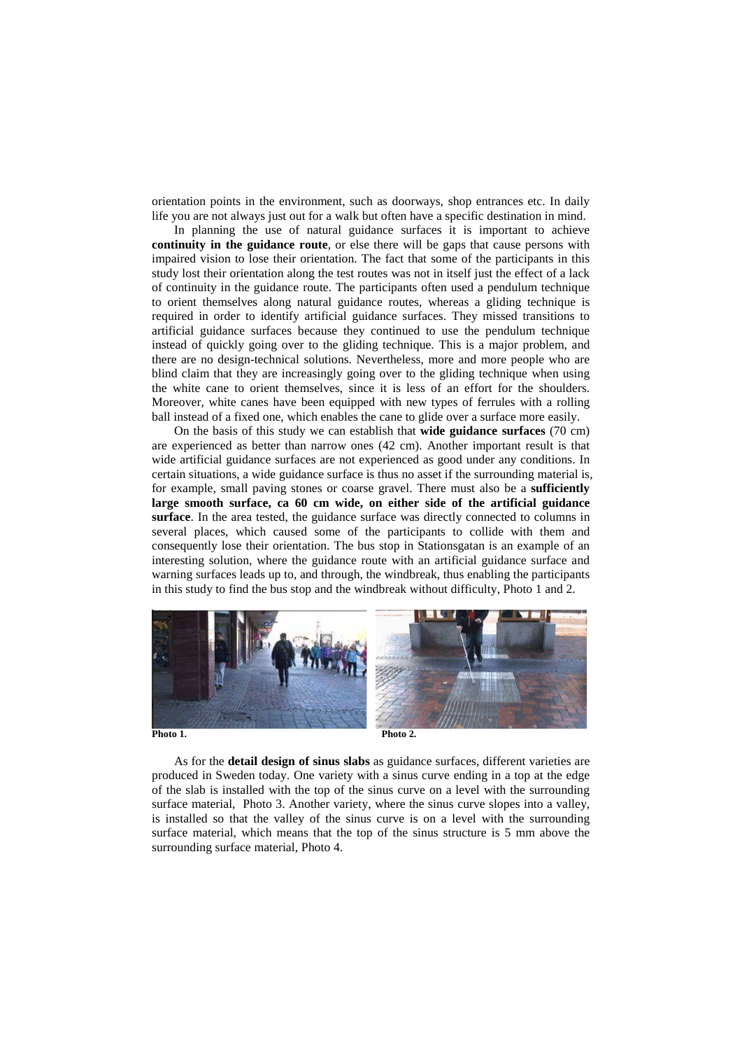orientation points in the environment, such as doorways, shop entrances etc. In daily life you are not always just out for a walk but often have a specific destination in mind.

In planning the use of natural guidance surfaces it is important to achieve **continuity in the guidance route**, or else there will be gaps that cause persons with impaired vision to lose their orientation. The fact that some of the participants in this study lost their orientation along the test routes was not in itself just the effect of a lack of continuity in the guidance route. The participants often used a pendulum technique to orient themselves along natural guidance routes, whereas a gliding technique is required in order to identify artificial guidance surfaces. They missed transitions to artificial guidance surfaces because they continued to use the pendulum technique instead of quickly going over to the gliding technique. This is a major problem, and there are no design-technical solutions. Nevertheless, more and more people who are blind claim that they are increasingly going over to the gliding technique when using the white cane to orient themselves, since it is less of an effort for the shoulders. Moreover, white canes have been equipped with new types of ferrules with a rolling ball instead of a fixed one, which enables the cane to glide over a surface more easily.

On the basis of this study we can establish that **wide guidance surfaces** (70 cm) are experienced as better than narrow ones (42 cm). Another important result is that wide artificial guidance surfaces are not experienced as good under any conditions. In certain situations, a wide guidance surface is thus no asset if the surrounding material is, for example, small paving stones or coarse gravel. There must also be a **sufficiently large smooth surface, ca 60 cm wide, on either side of the artificial guidance surface**. In the area tested, the guidance surface was directly connected to columns in several places, which caused some of the participants to collide with them and consequently lose their orientation. The bus stop in Stationsgatan is an example of an interesting solution, where the guidance route with an artificial guidance surface and warning surfaces leads up to, and through, the windbreak, thus enabling the participants in this study to find the bus stop and the windbreak without difficulty, Photo 1 and 2.



As for the **detail design of sinus slabs** as guidance surfaces, different varieties are produced in Sweden today. One variety with a sinus curve ending in a top at the edge of the slab is installed with the top of the sinus curve on a level with the surrounding surface material, Photo 3. Another variety, where the sinus curve slopes into a valley, is installed so that the valley of the sinus curve is on a level with the surrounding surface material, which means that the top of the sinus structure is 5 mm above the surrounding surface material, Photo 4.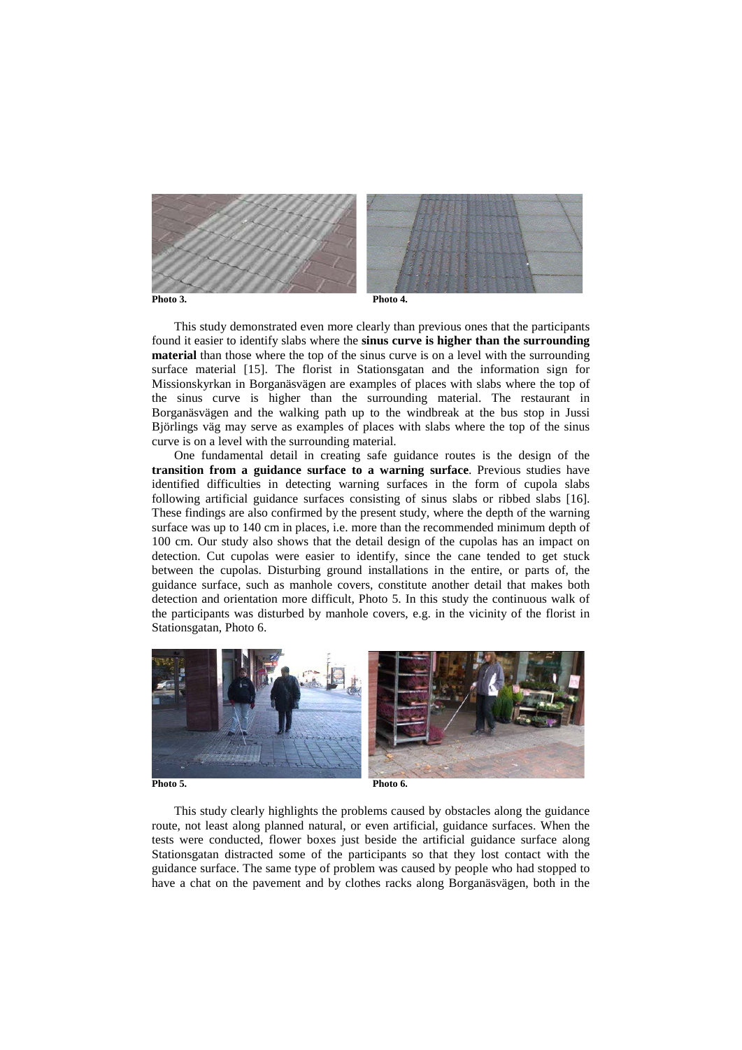

This study demonstrated even more clearly than previous ones that the participants found it easier to identify slabs where the **sinus curve is higher than the surrounding material** than those where the top of the sinus curve is on a level with the surrounding surface material [15]. The florist in Stationsgatan and the information sign for Missionskyrkan in Borganäsvägen are examples of places with slabs where the top of the sinus curve is higher than the surrounding material. The restaurant in Borganäsvägen and the walking path up to the windbreak at the bus stop in Jussi Björlings väg may serve as examples of places with slabs where the top of the sinus curve is on a level with the surrounding material.

One fundamental detail in creating safe guidance routes is the design of the **transition from a guidance surface to a warning surface**. Previous studies have identified difficulties in detecting warning surfaces in the form of cupola slabs following artificial guidance surfaces consisting of sinus slabs or ribbed slabs [16]. These findings are also confirmed by the present study, where the depth of the warning surface was up to 140 cm in places, i.e. more than the recommended minimum depth of 100 cm. Our study also shows that the detail design of the cupolas has an impact on detection. Cut cupolas were easier to identify, since the cane tended to get stuck between the cupolas. Disturbing ground installations in the entire, or parts of, the guidance surface, such as manhole covers, constitute another detail that makes both detection and orientation more difficult, Photo 5. In this study the continuous walk of the participants was disturbed by manhole covers, e.g. in the vicinity of the florist in Stationsgatan, Photo 6.



This study clearly highlights the problems caused by obstacles along the guidance route, not least along planned natural, or even artificial, guidance surfaces. When the tests were conducted, flower boxes just beside the artificial guidance surface along Stationsgatan distracted some of the participants so that they lost contact with the guidance surface. The same type of problem was caused by people who had stopped to have a chat on the pavement and by clothes racks along Borganäsvägen, both in the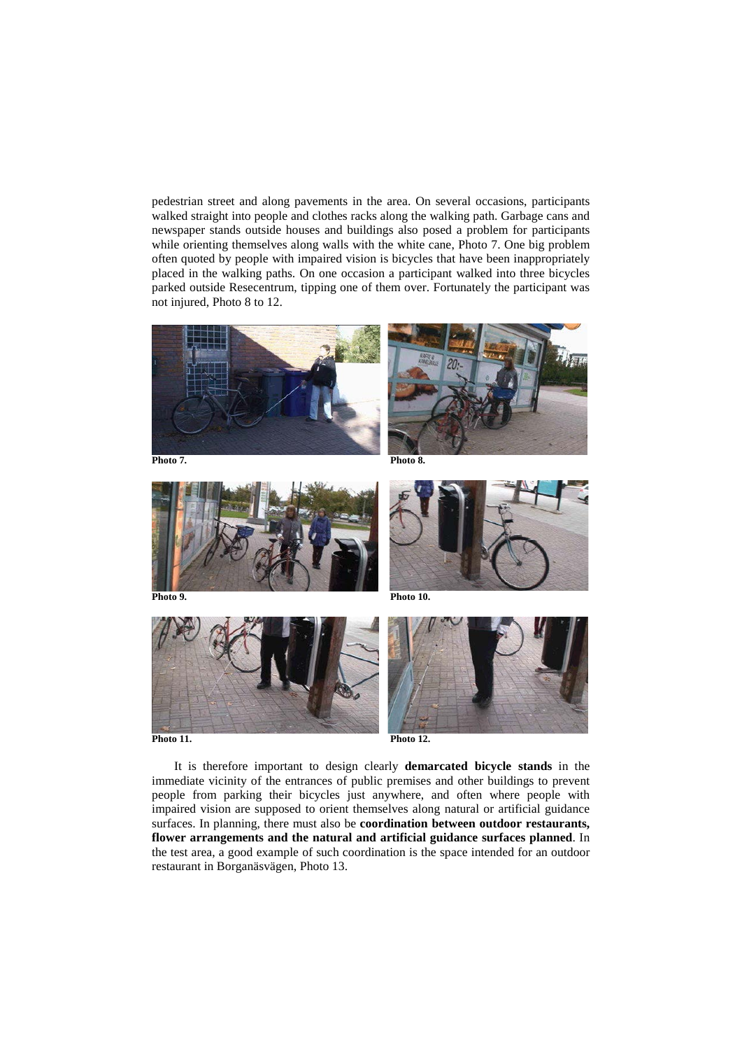pedestrian street and along pavements in the area. On several occasions, participants walked straight into people and clothes racks along the walking path. Garbage cans and newspaper stands outside houses and buildings also posed a problem for participants while orienting themselves along walls with the white cane, Photo 7. One big problem often quoted by people with impaired vision is bicycles that have been inappropriately placed in the walking paths. On one occasion a participant walked into three bicycles parked outside Resecentrum, tipping one of them over. Fortunately the participant was not injured, Photo 8 to 12.











It is therefore important to design clearly **demarcated bicycle stands** in the immediate vicinity of the entrances of public premises and other buildings to prevent people from parking their bicycles just anywhere, and often where people with impaired vision are supposed to orient themselves along natural or artificial guidance surfaces. In planning, there must also be **coordination between outdoor restaurants, flower arrangements and the natural and artificial guidance surfaces planned**. In the test area, a good example of such coordination is the space intended for an outdoor restaurant in Borganäsvägen, Photo 13.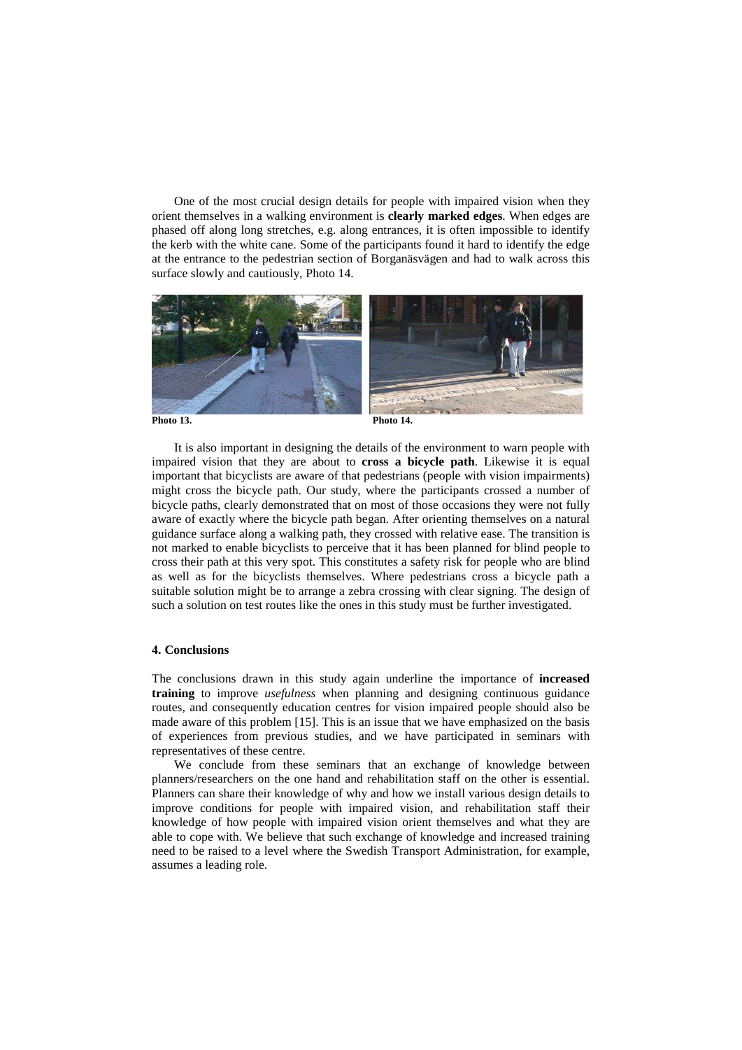One of the most crucial design details for people with impaired vision when they orient themselves in a walking environment is **clearly marked edges**. When edges are phased off along long stretches, e.g. along entrances, it is often impossible to identify the kerb with the white cane. Some of the participants found it hard to identify the edge at the entrance to the pedestrian section of Borganäsvägen and had to walk across this surface slowly and cautiously, Photo 14.



It is also important in designing the details of the environment to warn people with impaired vision that they are about to **cross a bicycle path**. Likewise it is equal important that bicyclists are aware of that pedestrians (people with vision impairments) might cross the bicycle path. Our study, where the participants crossed a number of bicycle paths, clearly demonstrated that on most of those occasions they were not fully aware of exactly where the bicycle path began. After orienting themselves on a natural guidance surface along a walking path, they crossed with relative ease. The transition is not marked to enable bicyclists to perceive that it has been planned for blind people to cross their path at this very spot. This constitutes a safety risk for people who are blind as well as for the bicyclists themselves. Where pedestrians cross a bicycle path a suitable solution might be to arrange a zebra crossing with clear signing. The design of such a solution on test routes like the ones in this study must be further investigated.

## **4. Conclusions**

The conclusions drawn in this study again underline the importance of **increased training** to improve *usefulness* when planning and designing continuous guidance routes, and consequently education centres for vision impaired people should also be made aware of this problem [15]. This is an issue that we have emphasized on the basis of experiences from previous studies, and we have participated in seminars with representatives of these centre.

We conclude from these seminars that an exchange of knowledge between planners/researchers on the one hand and rehabilitation staff on the other is essential. Planners can share their knowledge of why and how we install various design details to improve conditions for people with impaired vision, and rehabilitation staff their knowledge of how people with impaired vision orient themselves and what they are able to cope with. We believe that such exchange of knowledge and increased training need to be raised to a level where the Swedish Transport Administration, for example, assumes a leading role.